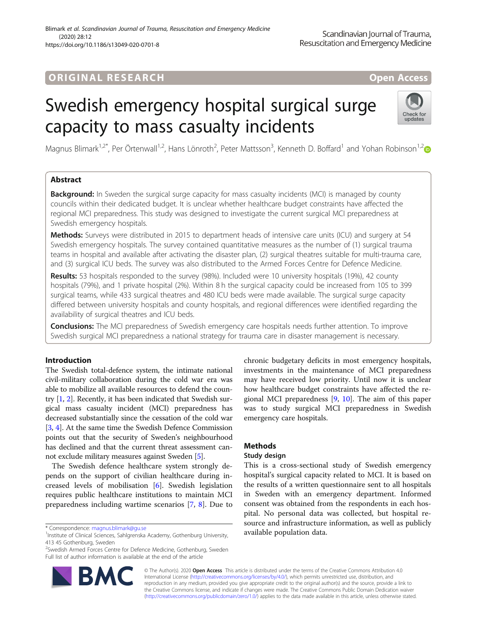## **ORIGINAL RESEARCH And Access** open Access

# Swedish emergency hospital surgical surge capacity to mass casualty incidents



Magnus Blimark<sup>1,2\*</sup>, Per Örtenwall<sup>1,2</sup>, Hans Lönroth<sup>2</sup>, Peter Mattsson<sup>3</sup>, Kenneth D. Boffard<sup>1</sup> and Yohan Robinson<sup>1,2</sup>

## Abstract

**Background:** In Sweden the surgical surge capacity for mass casualty incidents (MCI) is managed by county councils within their dedicated budget. It is unclear whether healthcare budget constraints have affected the regional MCI preparedness. This study was designed to investigate the current surgical MCI preparedness at Swedish emergency hospitals.

Methods: Surveys were distributed in 2015 to department heads of intensive care units (ICU) and surgery at 54 Swedish emergency hospitals. The survey contained quantitative measures as the number of (1) surgical trauma teams in hospital and available after activating the disaster plan, (2) surgical theatres suitable for multi-trauma care, and (3) surgical ICU beds. The survey was also distributed to the Armed Forces Centre for Defence Medicine.

Results: 53 hospitals responded to the survey (98%). Included were 10 university hospitals (19%), 42 county hospitals (79%), and 1 private hospital (2%). Within 8 h the surgical capacity could be increased from 105 to 399 surgical teams, while 433 surgical theatres and 480 ICU beds were made available. The surgical surge capacity differed between university hospitals and county hospitals, and regional differences were identified regarding the availability of surgical theatres and ICU beds.

**Conclusions:** The MCI preparedness of Swedish emergency care hospitals needs further attention. To improve Swedish surgical MCI preparedness a national strategy for trauma care in disaster management is necessary.

## Introduction

The Swedish total-defence system, the intimate national civil-military collaboration during the cold war era was able to mobilize all available resources to defend the country [[1](#page-5-0), [2](#page-5-0)]. Recently, it has been indicated that Swedish surgical mass casualty incident (MCI) preparedness has decreased substantially since the cessation of the cold war [[3,](#page-5-0) [4](#page-5-0)]. At the same time the Swedish Defence Commission points out that the security of Sweden's neighbourhood has declined and that the current threat assessment cannot exclude military measures against Sweden [\[5\]](#page-5-0).

The Swedish defence healthcare system strongly depends on the support of civilian healthcare during increased levels of mobilisation [\[6](#page-5-0)]. Swedish legislation requires public healthcare institutions to maintain MCI preparedness including wartime scenarios [\[7,](#page-5-0) [8\]](#page-5-0). Due to

<sup>2</sup>Swedish Armed Forces Centre for Defence Medicine, Gothenburg, Sweden Full list of author information is available at the end of the article



chronic budgetary deficits in most emergency hospitals, investments in the maintenance of MCI preparedness may have received low priority. Until now it is unclear how healthcare budget constraints have affected the regional MCI preparedness [[9,](#page-5-0) [10](#page-5-0)]. The aim of this paper was to study surgical MCI preparedness in Swedish emergency care hospitals.

### Methods

### Study design

This is a cross-sectional study of Swedish emergency hospital's surgical capacity related to MCI. It is based on the results of a written questionnaire sent to all hospitals in Sweden with an emergency department. Informed consent was obtained from the respondents in each hospital. No personal data was collected, but hospital resource and infrastructure information, as well as publicly available population data.

© The Author(s). 2020 Open Access This article is distributed under the terms of the Creative Commons Attribution 4.0 International License [\(http://creativecommons.org/licenses/by/4.0/](http://creativecommons.org/licenses/by/4.0/)), which permits unrestricted use, distribution, and reproduction in any medium, provided you give appropriate credit to the original author(s) and the source, provide a link to the Creative Commons license, and indicate if changes were made. The Creative Commons Public Domain Dedication waiver [\(http://creativecommons.org/publicdomain/zero/1.0/](http://creativecommons.org/publicdomain/zero/1.0/)) applies to the data made available in this article, unless otherwise stated.

<sup>\*</sup> Correspondence: [magnus.blimark@gu.se](mailto:magnus.blimark@gu.se) <sup>1</sup>

<sup>&</sup>lt;sup>1</sup>Institute of Clinical Sciences, Sahlgrenska Academy, Gothenburg University, 413 45 Gothenburg, Sweden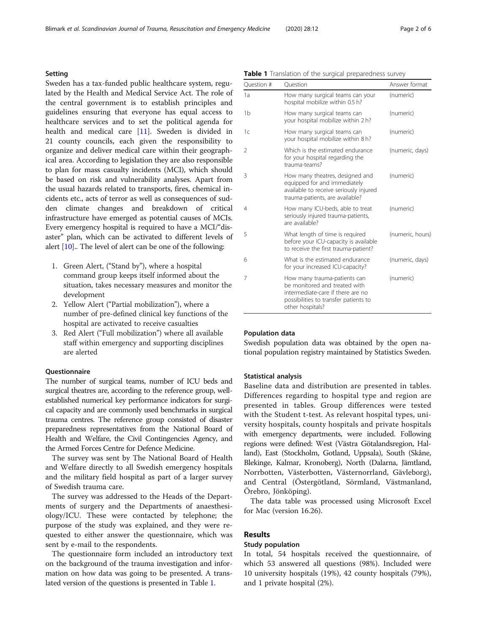#### Setting

Sweden has a tax-funded public healthcare system, regulated by the Health and Medical Service Act. The role of the central government is to establish principles and guidelines ensuring that everyone has equal access to healthcare services and to set the political agenda for health and medical care [\[11](#page-5-0)]. Sweden is divided in 21 county councils, each given the responsibility to organize and deliver medical care within their geographical area. According to legislation they are also responsible to plan for mass casualty incidents (MCI), which should be based on risk and vulnerability analyses. Apart from the usual hazards related to transports, fires, chemical incidents etc., acts of terror as well as consequences of sudden climate changes and breakdown of critical infrastructure have emerged as potential causes of MCIs. Every emergency hospital is required to have a MCI/"disaster" plan, which can be activated to different levels of alert  $[10]$ .. The level of alert can be one of the following:

- 1. Green Alert, ("Stand by"), where a hospital command group keeps itself informed about the situation, takes necessary measures and monitor the development
- 2. Yellow Alert ("Partial mobilization"), where a number of pre-defined clinical key functions of the hospital are activated to receive casualties
- 3. Red Alert ("Full mobilization") where all available staff within emergency and supporting disciplines are alerted

#### **Ouestionnaire**

The number of surgical teams, number of ICU beds and surgical theatres are, according to the reference group, wellestablished numerical key performance indicators for surgical capacity and are commonly used benchmarks in surgical trauma centres. The reference group consisted of disaster preparedness representatives from the National Board of Health and Welfare, the Civil Contingencies Agency, and the Armed Forces Centre for Defence Medicine.

The survey was sent by The National Board of Health and Welfare directly to all Swedish emergency hospitals and the military field hospital as part of a larger survey of Swedish trauma care.

The survey was addressed to the Heads of the Departments of surgery and the Departments of anaesthesiology/ICU. These were contacted by telephone; the purpose of the study was explained, and they were requested to either answer the questionnaire, which was sent by e-mail to the respondents.

The questionnaire form included an introductory text on the background of the trauma investigation and information on how data was going to be presented. A translated version of the questions is presented in Table 1.

Table 1 Translation of the surgical preparedness survey

| Question # | Question                                                                                                                                                        | Answer format    |
|------------|-----------------------------------------------------------------------------------------------------------------------------------------------------------------|------------------|
| 1a         | How many surgical teams can your<br>hospital mobilize within 0.5 h?                                                                                             | (numeric)        |
| 1b         | How many surgical teams can<br>your hospital mobilize within 2 h?                                                                                               | (numeric)        |
| 1c         | How many surgical teams can<br>your hospital mobilize within 8 h?                                                                                               | (numeric)        |
| 2          | Which is the estimated endurance<br>for your hospital regarding the<br>trauma-teams?                                                                            | (numeric, days)  |
| 3          | How many theatres, designed and<br>equipped for and immediately<br>available to receive seriously injured<br>trauma-patients, are available?                    | (numeric)        |
| 4          | How many ICU-beds, able to treat<br>seriously injured trauma-patients,<br>are available?                                                                        | (numeric)        |
| 5          | What length of time is required<br>before your ICU-capacity is available<br>to receive the first trauma-patient?                                                | (numeric, hours) |
| 6          | What is the estimated endurance<br>for your increased ICU-capacity?                                                                                             | (numeric, days)  |
| 7          | How many trauma-patients can<br>be monitored and treated with<br>intermediate-care if there are no<br>possibilities to transfer patients to<br>other hospitals? | (numeric)        |

#### Population data

Swedish population data was obtained by the open national population registry maintained by Statistics Sweden.

#### Statistical analysis

Baseline data and distribution are presented in tables. Differences regarding to hospital type and region are presented in tables. Group differences were tested with the Student t-test. As relevant hospital types, university hospitals, county hospitals and private hospitals with emergency departments, were included. Following regions were defined: West (Västra Götalandsregion, Halland), East (Stockholm, Gotland, Uppsala), South (Skåne, Blekinge, Kalmar, Kronoberg), North (Dalarna, Jämtland, Norrbotten, Västerbotten, Västernorrland, Gävleborg), and Central (Östergötland, Sörmland, Västmanland, Örebro, Jönköping).

The data table was processed using Microsoft Excel for Mac (version 16.26).

#### Results

#### Study population

In total, 54 hospitals received the questionnaire, of which 53 answered all questions (98%). Included were 10 university hospitals (19%), 42 county hospitals (79%), and 1 private hospital (2%).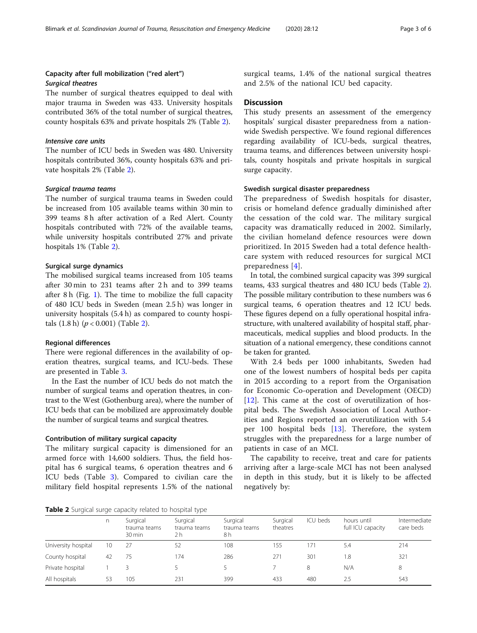## Capacity after full mobilization ("red alert")

The number of surgical theatres equipped to deal with major trauma in Sweden was 433. University hospitals contributed 36% of the total number of surgical theatres, county hospitals 63% and private hospitals 2% (Table 2).

The number of ICU beds in Sweden was 480. University hospitals contributed 36%, county hospitals 63% and private hospitals 2% (Table 2).

The number of surgical trauma teams in Sweden could be increased from 105 available teams within 30 min to 399 teams 8 h after activation of a Red Alert. County hospitals contributed with 72% of the available teams, while university hospitals contributed 27% and private hospitals 1% (Table 2).

#### Surgical surge dynamics

The mobilised surgical teams increased from 105 teams after 30 min to 231 teams after 2 h and to 399 teams after 8 h (Fig. [1\)](#page-3-0). The time to mobilize the full capacity of 480 ICU beds in Sweden (mean 2.5 h) was longer in university hospitals (5.4 h) as compared to county hospitals  $(1.8 h)$   $(p < 0.001)$  (Table 2).

#### Regional differences

There were regional differences in the availability of operation theatres, surgical teams, and ICU-beds. These are presented in Table [3](#page-3-0).

In the East the number of ICU beds do not match the number of surgical teams and operation theatres, in contrast to the West (Gothenburg area), where the number of ICU beds that can be mobilized are approximately double the number of surgical teams and surgical theatres.

#### Contribution of military surgical capacity

The military surgical capacity is dimensioned for an armed force with 14,600 soldiers. Thus, the field hospital has 6 surgical teams, 6 operation theatres and 6 ICU beds (Table [3\)](#page-3-0). Compared to civilian care the military field hospital represents 1.5% of the national surgical teams, 1.4% of the national surgical theatres and 2.5% of the national ICU bed capacity.

#### **Discussion**

This study presents an assessment of the emergency hospitals' surgical disaster preparedness from a nationwide Swedish perspective. We found regional differences regarding availability of ICU-beds, surgical theatres, trauma teams, and differences between university hospitals, county hospitals and private hospitals in surgical surge capacity.

#### Swedish surgical disaster preparedness

The preparedness of Swedish hospitals for disaster, crisis or homeland defence gradually diminished after the cessation of the cold war. The military surgical capacity was dramatically reduced in 2002. Similarly, the civilian homeland defence resources were down prioritized. In 2015 Sweden had a total defence healthcare system with reduced resources for surgical MCI preparedness [[4\]](#page-5-0).

In total, the combined surgical capacity was 399 surgical teams, 433 surgical theatres and 480 ICU beds (Table 2). The possible military contribution to these numbers was 6 surgical teams, 6 operation theatres and 12 ICU beds. These figures depend on a fully operational hospital infrastructure, with unaltered availability of hospital staff, pharmaceuticals, medical supplies and blood products. In the situation of a national emergency, these conditions cannot be taken for granted.

With 2.4 beds per 1000 inhabitants, Sweden had one of the lowest numbers of hospital beds per capita in 2015 according to a report from the Organisation for Economic Co-operation and Development (OECD) [[12\]](#page-5-0). This came at the cost of overutilization of hospital beds. The Swedish Association of Local Authorities and Regions reported an overutilization with 5.4 per 100 hospital beds [[13\]](#page-5-0). Therefore, the system struggles with the preparedness for a large number of patients in case of an MCI.

The capability to receive, treat and care for patients arriving after a large-scale MCI has not been analysed in depth in this study, but it is likely to be affected negatively by:

**Table 2** Surgical surge capacity related to hospital type

|                     | n  | Surgical<br>trauma teams<br>30 min | Surgical<br>trauma teams<br>2h | Surgical<br>trauma teams<br>8 h | Surgical<br>theatres | ICU beds | hours until<br>full ICU capacity | Intermediate<br>care beds |
|---------------------|----|------------------------------------|--------------------------------|---------------------------------|----------------------|----------|----------------------------------|---------------------------|
| University hospital | 10 | 27                                 | 52                             | 108                             | 155                  | 171      | 5.4                              | 214                       |
| County hospital     | 42 | 75                                 | 174                            | 286                             | 271                  | 301      | 1.8                              | 321                       |
| Private hospital    |    |                                    |                                |                                 |                      | 8        | N/A                              | 8                         |
| All hospitals       | 53 | 105                                | 231                            | 399                             | 433                  | 480      | 2.5                              | 543                       |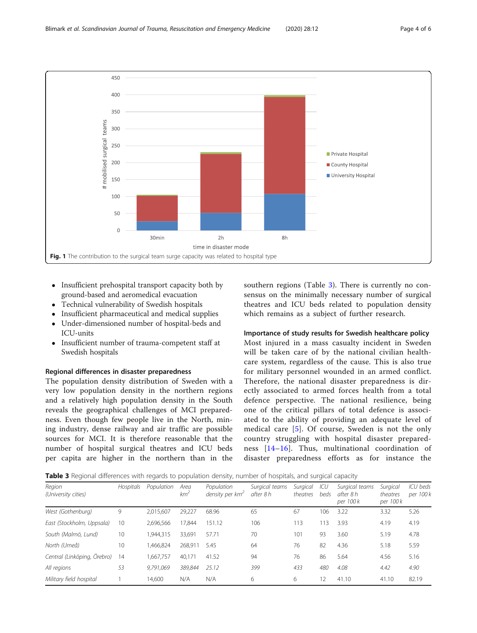<span id="page-3-0"></span>

- Insufficient prehospital transport capacity both by ground-based and aeromedical evacuation
- Technical vulnerability of Swedish hospitals
- Insufficient pharmaceutical and medical supplies
- Under-dimensioned number of hospital-beds and ICU-units
- Insufficient number of trauma-competent staff at Swedish hospitals

#### Regional differences in disaster preparedness

The population density distribution of Sweden with a very low population density in the northern regions and a relatively high population density in the South reveals the geographical challenges of MCI preparedness. Even though few people live in the North, mining industry, dense railway and air traffic are possible sources for MCI. It is therefore reasonable that the number of hospital surgical theatres and ICU beds per capita are higher in the northern than in the southern regions (Table 3). There is currently no consensus on the minimally necessary number of surgical theatres and ICU beds related to population density which remains as a subject of further research.

Importance of study results for Swedish healthcare policy

Most injured in a mass casualty incident in Sweden will be taken care of by the national civilian healthcare system, regardless of the cause. This is also true for military personnel wounded in an armed conflict. Therefore, the national disaster preparedness is directly associated to armed forces health from a total defence perspective. The national resilience, being one of the critical pillars of total defence is associated to the ability of providing an adequate level of medical care [\[5](#page-5-0)]. Of course, Sweden is not the only country struggling with hospital disaster preparedness [\[14](#page-5-0)–[16\]](#page-5-0). Thus, multinational coordination of disaster preparedness efforts as for instance the

Table 3 Regional differences with regards to population density, number of hospitals, and surgical capacity

| Region<br>(University cities) | Hospitals | Population | Area<br>$km^2$ | Population<br>density per $km^2$ | Surgical teams<br>after 8 h | Suraical<br>theatres | ICU<br>beds | Surgical teams<br>after 8 h<br>per 100 k | Surgical<br>theatres<br>per 100 k | ICU beds<br>per 100 k |
|-------------------------------|-----------|------------|----------------|----------------------------------|-----------------------------|----------------------|-------------|------------------------------------------|-----------------------------------|-----------------------|
| West (Gothenburg)             | 9         | 2,015,607  | 29.227         | 68.96                            | 65                          | 67                   | 06          | 3.22                                     | 3.32                              | 5.26                  |
| East (Stockholm, Uppsala)     | 10        | 2.696.566  | 17.844         | 151.12                           | 106                         | 113                  | 13          | 3.93                                     | 4.19                              | 4.19                  |
| South (Malmö, Lund)           | 10        | 1.944.315  | 33.691         | 57.71                            | 70                          | 101                  | 93          | 3.60                                     | 5.19                              | 4.78                  |
| North (Umeå)                  | 10        | 466.824    | 268,911        | 5.45                             | 64                          | 76                   | 82          | 4.36                                     | 5.18                              | 5.59                  |
| Central (Linköping, Örebro)   | 14        | 1.667.757  | 40.171         | 41.52                            | 94                          | 76                   | 86          | 5.64                                     | 4.56                              | 5.16                  |
| All regions                   | 53        | 9,791,069  | 389,844        | 25.12                            | 399                         | 433                  | 480         | 4.08                                     | 4.42                              | 4.90                  |
| Military field hospital       |           | 14.600     | N/A            | N/A                              | 6                           | 6                    | 2           | 41.10                                    | 41.10                             | 82.19                 |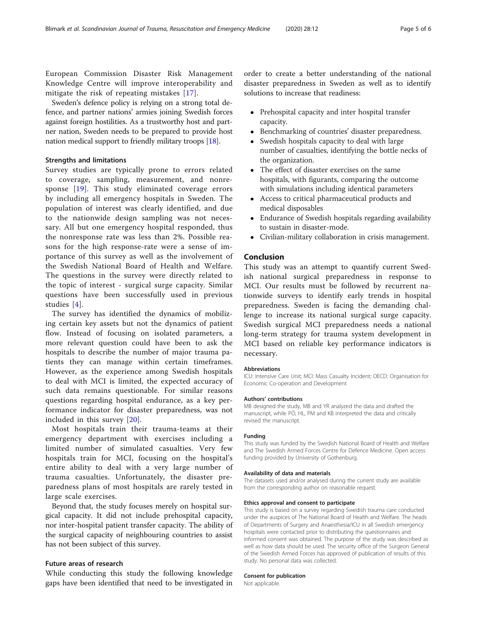European Commission Disaster Risk Management Knowledge Centre will improve interoperability and mitigate the risk of repeating mistakes [[17](#page-5-0)].

Sweden's defence policy is relying on a strong total defence, and partner nations' armies joining Swedish forces against foreign hostilities. As a trustworthy host and partner nation, Sweden needs to be prepared to provide host nation medical support to friendly military troops [[18](#page-5-0)].

#### Strengths and limitations

Survey studies are typically prone to errors related to coverage, sampling, measurement, and nonresponse [[19](#page-5-0)]. This study eliminated coverage errors by including all emergency hospitals in Sweden. The population of interest was clearly identified, and due to the nationwide design sampling was not necessary. All but one emergency hospital responded, thus the nonresponse rate was less than 2%. Possible reasons for the high response-rate were a sense of importance of this survey as well as the involvement of the Swedish National Board of Health and Welfare. The questions in the survey were directly related to the topic of interest - surgical surge capacity. Similar questions have been successfully used in previous studies [[4\]](#page-5-0).

The survey has identified the dynamics of mobilizing certain key assets but not the dynamics of patient flow. Instead of focusing on isolated parameters, a more relevant question could have been to ask the hospitals to describe the number of major trauma patients they can manage within certain timeframes. However, as the experience among Swedish hospitals to deal with MCI is limited, the expected accuracy of such data remains questionable. For similar reasons questions regarding hospital endurance, as a key performance indicator for disaster preparedness, was not included in this survey [\[20](#page-5-0)].

Most hospitals train their trauma-teams at their emergency department with exercises including a limited number of simulated casualties. Very few hospitals train for MCI, focusing on the hospital's entire ability to deal with a very large number of trauma casualties. Unfortunately, the disaster preparedness plans of most hospitals are rarely tested in large scale exercises.

Beyond that, the study focuses merely on hospital surgical capacity. It did not include prehospital capacity, nor inter-hospital patient transfer capacity. The ability of the surgical capacity of neighbouring countries to assist has not been subject of this survey.

#### Future areas of research

While conducting this study the following knowledge gaps have been identified that need to be investigated in order to create a better understanding of the national disaster preparedness in Sweden as well as to identify solutions to increase that readiness:

- Prehospital capacity and inter hospital transfer capacity.
- Benchmarking of countries' disaster preparedness.
- Swedish hospitals capacity to deal with large number of casualties, identifying the bottle necks of the organization.
- The effect of disaster exercises on the same hospitals, with figurants, comparing the outcome with simulations including identical parameters
- Access to critical pharmaceutical products and medical disposables
- Endurance of Swedish hospitals regarding availability to sustain in disaster-mode.
- Civilian-military collaboration in crisis management.

#### Conclusion

This study was an attempt to quantify current Swedish national surgical preparedness in response to MCI. Our results must be followed by recurrent nationwide surveys to identify early trends in hospital preparedness. Sweden is facing the demanding challenge to increase its national surgical surge capacity. Swedish surgical MCI preparedness needs a national long-term strategy for trauma system development in MCI based on reliable key performance indicators is necessary.

#### Abbreviations

ICU: Intensive Care Unit; MCI: Mass Casualty Incident; OECD: Organisation for Economic Co-operation and Development

#### Authors' contributions

MB designed the study, MB and YR analyzed the data and drafted the manuscript, while PÖ, HL, PM and KB interpreted the data and critically revised the manuscript.

#### Funding

This study was funded by the Swedish National Board of Health and Welfare and The Swedish Armed Forces Centre for Defence Medicine. Open access funding provided by University of Gothenburg.

#### Availability of data and materials

The datasets used and/or analysed during the current study are available from the corresponding author on reasonable request.

#### Ethics approval and consent to participate

This study is based on a survey regarding Swedish trauma care conducted under the auspices of The National Board of Health and Welfare. The heads of Departments of Surgery and Anaesthesia/ICU in all Swedish emergency hospitals were contacted prior to distributing the questionnaires and informed consent was obtained. The purpose of the study was described as well as how data should be used. The security office of the Surgeon General of the Swedish Armed Forces has approved of publication of results of this study. No personal data was collected.

#### Consent for publication

Not applicable.